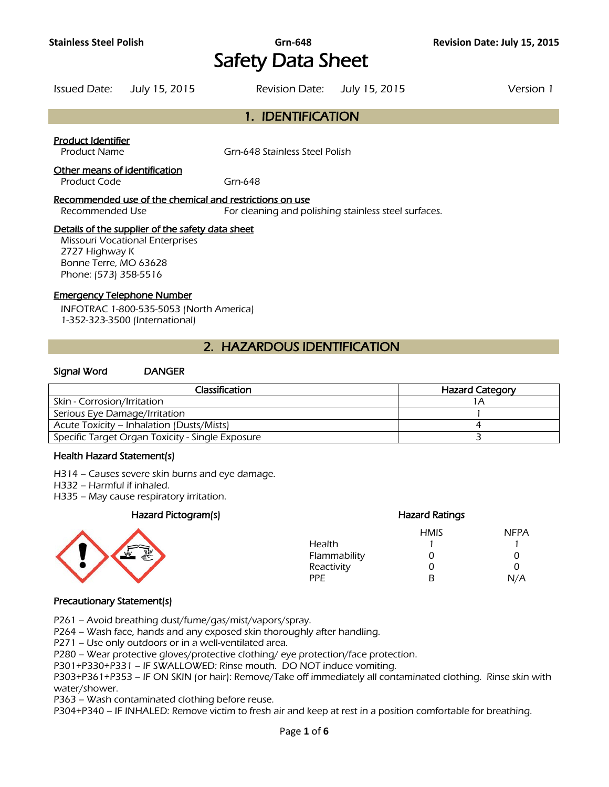# **Stainless Steel Polish Grn-648 Revision Date: July 15, 2015**  Safety Data Sheet

Issued Date: July 15, 2015 Revision Date: July 15, 2015 Version 1

# 1. IDENTIFICATION

#### Product Identifier

Product Name Grn-648 Stainless Steel Polish

#### Other means of identification

Product Code Grn-648

#### Recommended use of the chemical and restrictions on use

Recommended Use For cleaning and polishing stainless steel surfaces.

#### Details of the supplier of the safety data sheet

Missouri Vocational Enterprises 2727 Highway K Bonne Terre, MO 63628 Phone: (573) 358-5516

### Emergency Telephone Number

INFOTRAC 1-800-535-5053 (North America) 1-352-323-3500 (International)

# 2. HAZARDOUS IDENTIFICATION

#### Signal Word DANGER

| <b>Classification</b>                            | <b>Hazard Category</b> |
|--------------------------------------------------|------------------------|
| Skin - Corrosion/Irritation                      |                        |
| Serious Eye Damage/Irritation                    |                        |
| Acute Toxicity – Inhalation (Dusts/Mists)        |                        |
| Specific Target Organ Toxicity - Single Exposure |                        |
|                                                  |                        |

#### Health Hazard Statement(s)

H314 – Causes severe skin burns and eye damage.

- H332 Harmful if inhaled.
- H335 May cause respiratory irritation.

#### Hazard Pictogram(s) Hazard Ratings



|              | <b>HMIS</b> | <b>NFPA</b> |
|--------------|-------------|-------------|
| Health       |             |             |
| Flammability | 0           | O           |
| Reactivity   | O           | U           |
| PPF.         | R           | N/A         |

#### Precautionary Statement(s)

P261 – Avoid breathing dust/fume/gas/mist/vapors/spray.

P264 – Wash face, hands and any exposed skin thoroughly after handling.

P271 – Use only outdoors or in a well-ventilated area.

P280 – Wear protective gloves/protective clothing/ eye protection/face protection.

P301+P330+P331 – IF SWALLOWED: Rinse mouth. DO NOT induce vomiting.

P303+P361+P353 – IF ON SKIN (or hair): Remove/Take off immediately all contaminated clothing. Rinse skin with water/shower.

P363 – Wash contaminated clothing before reuse.

P304+P340 – IF INHALED: Remove victim to fresh air and keep at rest in a position comfortable for breathing.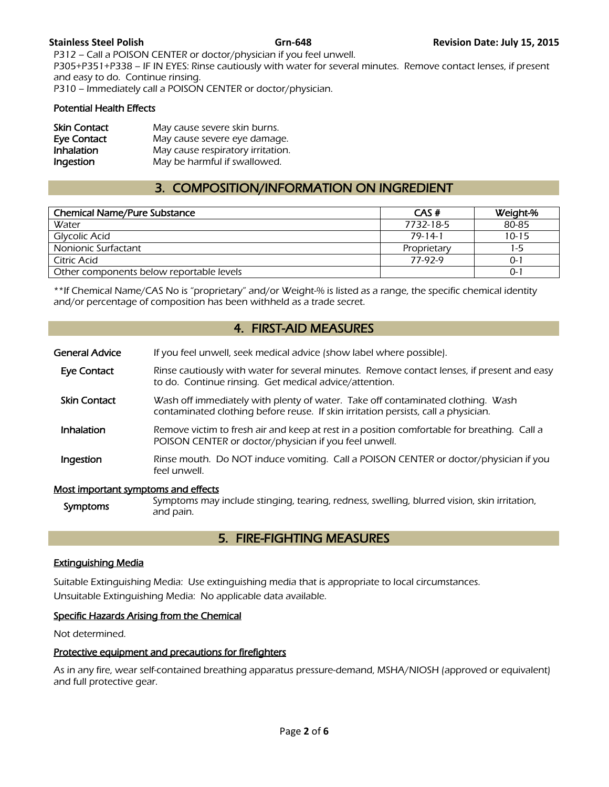P312 – Call a POISON CENTER or doctor/physician if you feel unwell. P305+P351+P338 – IF IN EYES: Rinse cautiously with water for several minutes. Remove contact lenses, if present and easy to do. Continue rinsing. P310 – Immediately call a POISON CENTER or doctor/physician.

#### Potential Health Effects

| <b>Skin Contact</b> | May cause severe skin burns.      |
|---------------------|-----------------------------------|
| <b>Eye Contact</b>  | May cause severe eye damage.      |
| <b>Inhalation</b>   | May cause respiratory irritation. |
| Ingestion           | May be harmful if swallowed.      |

# 3. COMPOSITION/INFORMATION ON INGREDIENT

| <b>Chemical Name/Pure Substance</b>      | CAS#          | Weight-%  |
|------------------------------------------|---------------|-----------|
| Water                                    | 7732-18-5     | 80-85     |
| Glycolic Acid                            | $79 - 14 - 1$ | $10 - 15$ |
| Nonionic Surfactant                      | Proprietary   | 1-5       |
| Citric Acid                              | 77-92-9       | 0-1       |
| Other components below reportable levels |               | 0-        |
|                                          |               |           |

\*\*If Chemical Name/CAS No is "proprietary" and/or Weight-% is listed as a range, the specific chemical identity and/or percentage of composition has been withheld as a trade secret.

# 4. FIRST-AID MEASURES

| <b>General Advice</b>               | If you feel unwell, seek medical advice (show label where possible).                                                                                                  |  |
|-------------------------------------|-----------------------------------------------------------------------------------------------------------------------------------------------------------------------|--|
| Eye Contact                         | Rinse cautiously with water for several minutes. Remove contact lenses, if present and easy<br>to do. Continue rinsing. Get medical advice/attention.                 |  |
| <b>Skin Contact</b>                 | Wash off immediately with plenty of water. Take off contaminated clothing. Wash<br>contaminated clothing before reuse. If skin irritation persists, call a physician. |  |
| <b>Inhalation</b>                   | Remove victim to fresh air and keep at rest in a position comfortable for breathing. Call a<br>POISON CENTER or doctor/physician if you feel unwell.                  |  |
| Ingestion                           | Rinse mouth. Do NOT induce vomiting. Call a POISON CENTER or doctor/physician if you<br>feel unwell.                                                                  |  |
| Most important symptoms and effects |                                                                                                                                                                       |  |

#### Most important symptoms and effects

| <b>Symptoms</b> | Symptoms may include stinging, tearing, redness, swelling, blurred vision, skin irritation,<br>and pain. |
|-----------------|----------------------------------------------------------------------------------------------------------|
|-----------------|----------------------------------------------------------------------------------------------------------|

# 5. FIRE-FIGHTING MEASURES

#### Extinguishing Media

Suitable Extinguishing Media: Use extinguishing media that is appropriate to local circumstances. Unsuitable Extinguishing Media: No applicable data available.

#### Specific Hazards Arising from the Chemical

Not determined.

#### Protective equipment and precautions for firefighters

As in any fire, wear self-contained breathing apparatus pressure-demand, MSHA/NIOSH (approved or equivalent) and full protective gear.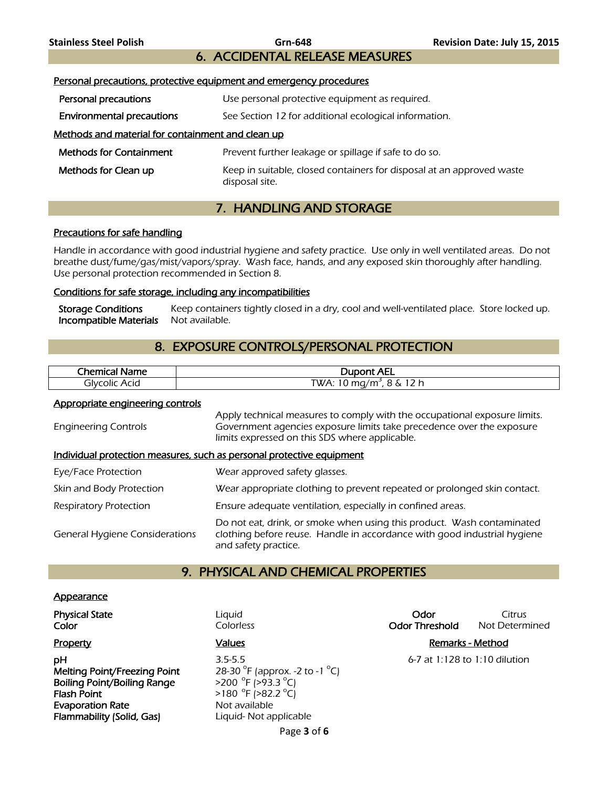**Stainless Steel Polish Grn-648 Revision Date: July 15, 2015**  6. ACCIDENTAL RELEASE MEASURES

# Personal precautions, protective equipment and emergency procedures **Personal precautions** Use personal protective equipment as required. **Environmental precautions** See Section 12 for additional ecological information. Methods and material for containment and clean up Methods for Containment **Prevent further leakage or spillage if safe to do so. Methods for Clean up** Keep in suitable, closed containers for disposal at an approved waste disposal site.

# 7. HANDLING AND STORAGE

#### Precautions for safe handling

Handle in accordance with good industrial hygiene and safety practice. Use only in well ventilated areas. Do not breathe dust/fume/gas/mist/vapors/spray. Wash face, hands, and any exposed skin thoroughly after handling. Use personal protection recommended in Section 8.

#### Conditions for safe storage, including any incompatibilities

Storage Conditions Keep containers tightly closed in a dry, cool and well-ventilated place. Store locked up. **Incompatible Materials** Not available.

# 8. EXPOSURE CONTROLS/PERSONAL PROTECTION

| Chemica.<br>Name<br>ÆН | <b>Dupont AEL</b>                                    |
|------------------------|------------------------------------------------------|
| Acid<br>olvcolicد      | つん<br>[WA: 10 mg/m $^{\circ}$<br>Λ.<br>ັ<br><u>.</u> |
|                        |                                                      |

#### Appropriate engineering controls

| <b>Engineering Controls</b>                                           | Apply technical measures to comply with the occupational exposure limits.<br>Government agencies exposure limits take precedence over the exposure<br>limits expressed on this SDS where applicable. |  |  |
|-----------------------------------------------------------------------|------------------------------------------------------------------------------------------------------------------------------------------------------------------------------------------------------|--|--|
| Individual protection measures, such as personal protective equipment |                                                                                                                                                                                                      |  |  |
| Eye/Face Protection                                                   | Wear approved safety glasses.                                                                                                                                                                        |  |  |
| Skin and Body Protection                                              | Wear appropriate clothing to prevent repeated or prolonged skin contact.                                                                                                                             |  |  |
| <b>Respiratory Protection</b>                                         | Ensure adequate ventilation, especially in confined areas.                                                                                                                                           |  |  |
| <b>General Hygiene Considerations</b>                                 | Do not eat, drink, or smoke when using this product. Wash contaminated<br>clothing before reuse. Handle in accordance with good industrial hygiene<br>and safety practice.                           |  |  |

# 9. PHYSICAL AND CHEMICAL PROPERTIES

#### **Appearance**

**pH** 3.5-5.5 6-7 at 1:128 to 1:10 dilution Melting Point/Freezing Point Boiling Point/Boiling Range Flash Point **Evaporation Rate** Not available Flammability (Solid, Gas) Liquid- Not applicable

F (approx. -2 to -1  $^{\circ}$ C) F (>93.3 °C)  $F( >82.2 °C)$ 

**Physical State Citrus Liquid Community Community Community Community Community Citrus Citrus Color Color Colorless Color Color Color Color Threshold** Not Determined

### Property **Example 3** Values **Values Values Remarks - Method**

Page **3** of **6**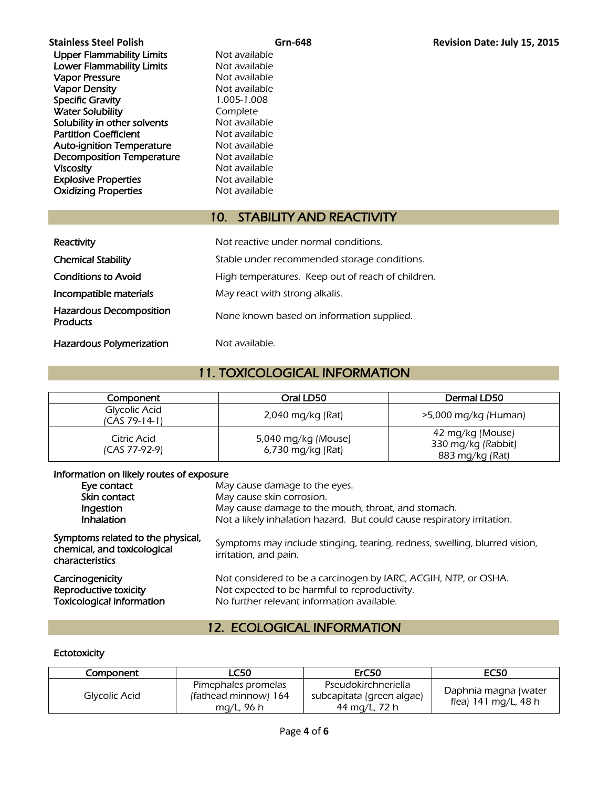Upper Flammability Limits Not available **Lower Flammability Limits** Not available<br> **Vapor Pressure** Not available Vapor Pressure<br>
Vapor Density<br>
Vapor Density<br>
Vapor Density Vapor Density Specific Gravity 1.005-1.008 Water Solubility **Complete** Solubility in other solvents Not available Partition Coefficient Not available Auto-ignition Temperature Mot available Decomposition Temperature Mot available Viscosity **Not available** Not available Explosive Properties<br>
Oxidizing Properties<br>
Not available **Oxidizing Properties** 

# 10. STABILITY AND REACTIVITY

| Reactivity                                        | Not reactive under normal conditions.             |
|---------------------------------------------------|---------------------------------------------------|
| <b>Chemical Stability</b>                         | Stable under recommended storage conditions.      |
| <b>Conditions to Avoid</b>                        | High temperatures. Keep out of reach of children. |
| Incompatible materials                            | May react with strong alkalis.                    |
| <b>Hazardous Decomposition</b><br><b>Products</b> | None known based on information supplied.         |
| <b>Hazardous Polymerization</b>                   | Not available.                                    |

# 11. TOXICOLOGICAL INFORMATION

| Component                      | Oral LD50                                | Dermal LD50                                               |
|--------------------------------|------------------------------------------|-----------------------------------------------------------|
| Glycolic Acid<br>ICAS 79-14-11 | 2,040 mg/kg (Rat)                        | $>5,000$ mg/kg (Human)                                    |
| Citric Acid<br>(CAS 77-92-9)   | 5,040 mg/kg (Mouse)<br>6,730 mg/kg (Rat) | 42 mg/kg (Mouse)<br>330 mg/kg (Rabbit)<br>883 mg/kg (Rat) |

#### Information on likely routes of exposure

| Eye contact                                                                         | May cause damage to the eyes.                                                                                                                                  |  |  |
|-------------------------------------------------------------------------------------|----------------------------------------------------------------------------------------------------------------------------------------------------------------|--|--|
| Skin contact                                                                        | May cause skin corrosion.                                                                                                                                      |  |  |
| Ingestion                                                                           | May cause damage to the mouth, throat, and stomach.                                                                                                            |  |  |
| <b>Inhalation</b>                                                                   | Not a likely inhalation hazard. But could cause respiratory irritation.                                                                                        |  |  |
| Symptoms related to the physical,<br>chemical, and toxicological<br>characteristics | Symptoms may include stinging, tearing, redness, swelling, blurred vision,<br>irritation, and pain.                                                            |  |  |
| Carcinogenicity<br>Reproductive toxicity<br><b>Toxicological information</b>        | Not considered to be a carcinogen by IARC, ACGIH, NTP, or OSHA.<br>Not expected to be harmful to reproductivity.<br>No further relevant information available. |  |  |

# 12. ECOLOGICAL INFORMATION

#### **Ectotoxicity**

| Component     | <b>LC50</b>                                               | ErC50                                                             | <b>EC50</b>                                  |
|---------------|-----------------------------------------------------------|-------------------------------------------------------------------|----------------------------------------------|
| Glycolic Acid | Pimephales promelas<br>(fathead minnow) 164<br>mg/L, 96 h | Pseudokirchneriella<br>subcapitata (green algae)<br>44 mg/L, 72 h | Daphnia magna (water<br>flea) 141 mg/L, 48 h |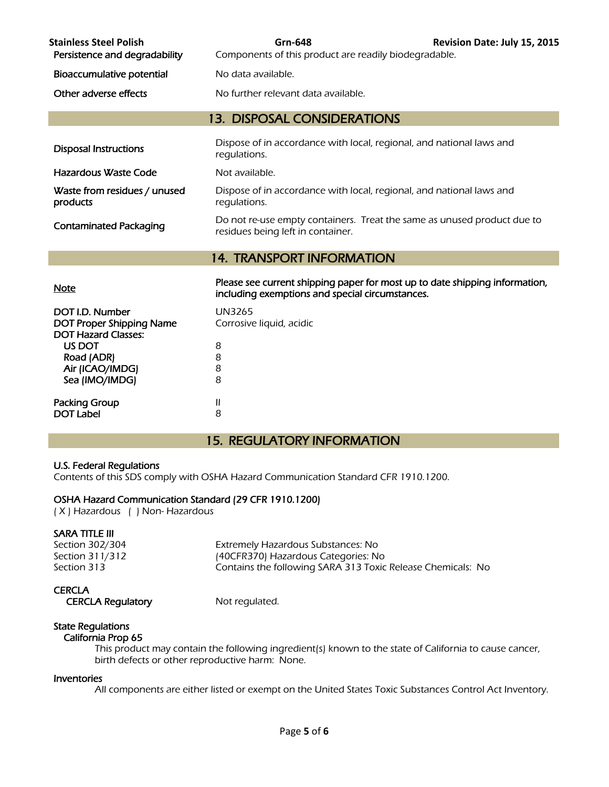| <b>Stainless Steel Polish</b><br>Persistence and degradability | Grn-648<br>Components of this product are readily biodegradable.                                                               | Revision Date: July 15, 2015 |  |
|----------------------------------------------------------------|--------------------------------------------------------------------------------------------------------------------------------|------------------------------|--|
| Bioaccumulative potential                                      | No data available.                                                                                                             |                              |  |
| Other adverse effects                                          | No further relevant data available.                                                                                            |                              |  |
| <b>13. DISPOSAL CONSIDERATIONS</b>                             |                                                                                                                                |                              |  |
| Disposal Instructions                                          | Dispose of in accordance with local, regional, and national laws and<br>regulations.                                           |                              |  |
| Hazardous Waste Code                                           | Not available.                                                                                                                 |                              |  |
| Waste from residues / unused<br>products                       | Dispose of in accordance with local, regional, and national laws and<br>regulations.                                           |                              |  |
| <b>Contaminated Packaging</b>                                  | Do not re-use empty containers. Treat the same as unused product due to<br>residues being left in container.                   |                              |  |
| <b>14. TRANSPORT INFORMATION</b>                               |                                                                                                                                |                              |  |
| <b>Note</b>                                                    | Please see current shipping paper for most up to date shipping information,<br>including exemptions and special circumstances. |                              |  |

| DOT I.D. Number                          | <b>UN3265</b>            |
|------------------------------------------|--------------------------|
| <b>DOT Proper Shipping Name</b>          | Corrosive liquid, acidic |
| <b>DOT Hazard Classes:</b>               |                          |
| US DOT                                   | 8                        |
| Road (ADR)                               | 8                        |
| Air (ICAO/IMDG)                          | 8                        |
| Sea (IMO/IMDG)                           | 8                        |
|                                          |                          |
| <b>Packing Group</b><br><b>DOT Label</b> | Ш                        |
|                                          | 8                        |

# 15. REGULATORY INFORMATION

#### U.S. Federal Regulations

Contents of this SDS comply with OSHA Hazard Communication Standard CFR 1910.1200.

#### OSHA Hazard Communication Standard (29 CFR 1910.1200)

( X ) Hazardous ( ) Non- Hazardous

### SARA TITLE III

Section 302/304 Extremely Hazardous Substances: No Section 311/312 (40CFR370) Hazardous Categories: No Section 313 Contains the following SARA 313 Toxic Release Chemicals: No

#### **CERCLA**

CERCLA Regulatory Mot regulated.

#### State Regulations California Prop 65

 This product may contain the following ingredient(s) known to the state of California to cause cancer, birth defects or other reproductive harm: None.

### Inventories

All components are either listed or exempt on the United States Toxic Substances Control Act Inventory.